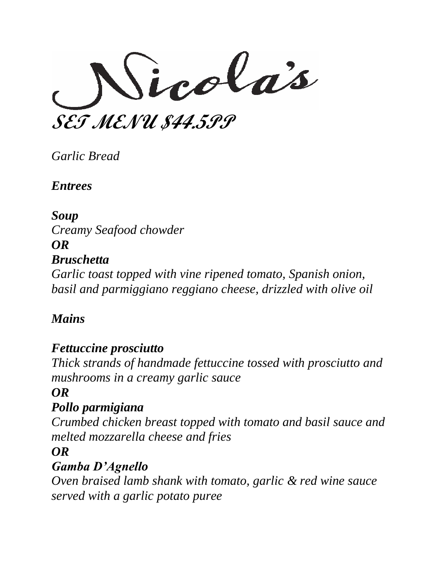SET MENU \$44.599

*Garlic Bread*

*Entrees*

# *Soup*

*Creamy Seafood chowder OR Bruschetta Garlic toast topped with vine ripened tomato, Spanish onion, basil and parmiggiano reggiano cheese, drizzled with olive oil*

# *Mains*

# *Fettuccine prosciutto*

*Thick strands of handmade fettuccine tossed with prosciutto and mushrooms in a creamy garlic sauce*

# *OR*

# *Pollo parmigiana*

*Crumbed chicken breast topped with tomato and basil sauce and melted mozzarella cheese and fries*

# *OR*

# *Gamba D'Agnello*

*Oven braised lamb shank with tomato, garlic & red wine sauce served with a garlic potato puree*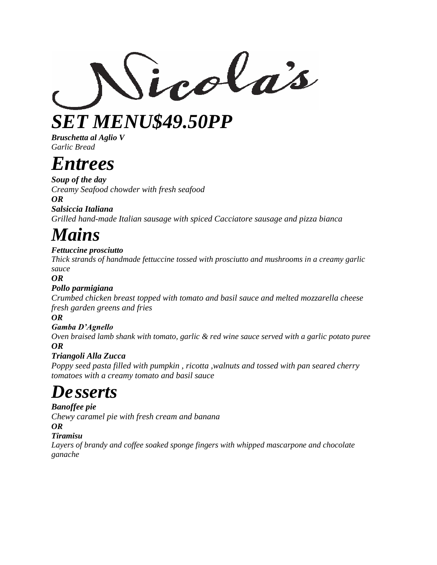Sicolas

*SET MENU\$49.50PP*

*Bruschetta al Aglio V Garlic Bread*

# *Entrees*

*Soup of the day Creamy Seafood chowder with fresh seafood* 

*OR*

*Salsiccia Italiana Grilled hand-made Italian sausage with spiced Cacciatore sausage and pizza bianca*

# *Mains*

## *Fettuccine prosciutto*

*Thick strands of handmade fettuccine tossed with prosciutto and mushrooms in a creamy garlic sauce*

*OR*

## *Pollo parmigiana*

*Crumbed chicken breast topped with tomato and basil sauce and melted mozzarella cheese fresh garden greens and fries*

*OR*

## *Gamba D'Agnello*

*Oven braised lamb shank with tomato, garlic & red wine sauce served with a garlic potato puree OR*

## *Triangoli Alla Zucca*

*Poppy seed pasta filled with pumpkin , ricotta ,walnuts and tossed with pan seared cherry tomatoes with a creamy tomato and basil sauce*

# *De sserts*

*Banoffee pie Chewy caramel pie with fresh cream and banana OR Tiramisu*

*Layers of brandy and coffee soaked sponge fingers with whipped mascarpone and chocolate ganache*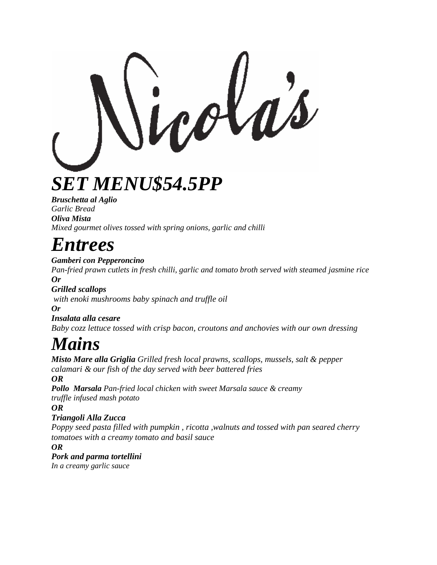*SET MENU\$54.5PP*

*Bruschetta al Aglio Garlic Bread Oliva Mista Mixed gourmet olives tossed with spring onions, garlic and chilli*

# *Entrees*

*Gamberi con Pepperoncino* 

*Pan-fried prawn cutlets in fresh chilli, garlic and tomato broth served with steamed jasmine rice Or* 

*Grilled scallops with enoki mushrooms baby spinach and truffle oil Or*

*Insalata alla cesare Baby cozz lettuce tossed with crisp bacon, croutons and anchovies with our own dressing*

# *Mains*

*Misto Mare alla Griglia Grilled fresh local prawns, scallops, mussels, salt & pepper calamari & our fish of the day served with beer battered fries OR Pollo Marsala Pan-fried local chicken with sweet Marsala sauce & creamy truffle infused mash potato OR Triangoli Alla Zucca Poppy seed pasta filled with pumpkin , ricotta ,walnuts and tossed with pan seared cherry tomatoes with a creamy tomato and basil sauce*

*OR*

*Pork and parma tortellini*

*In a creamy garlic sauce*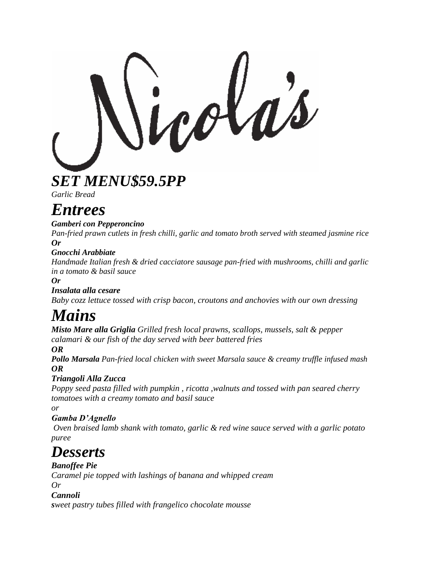*SET MENU\$59.5PP*

*Garlic Bread*

# *Entrees*

#### *Gamberi con Pepperoncino*

*Pan-fried prawn cutlets in fresh chilli, garlic and tomato broth served with steamed jasmine rice Or*

### *Gnocchi Arabbiate*

*Handmade Italian fresh & dried cacciatore sausage pan-fried with mushrooms, chilli and garlic in a tomato & basil sauce*

*Or*

## *Insalata alla cesare*

*Baby cozz lettuce tossed with crisp bacon, croutons and anchovies with our own dressing*

# *Mains*

*Misto Mare alla Griglia Grilled fresh local prawns, scallops, mussels, salt & pepper calamari & our fish of the day served with beer battered fries*

*OR*

*Pollo Marsala Pan-fried local chicken with sweet Marsala sauce & creamy truffle infused mash OR*

## *Triangoli Alla Zucca*

*Poppy seed pasta filled with pumpkin , ricotta ,walnuts and tossed with pan seared cherry tomatoes with a creamy tomato and basil sauce*

*or* 

## *Gamba D'Agnello*

*Oven braised lamb shank with tomato, garlic & red wine sauce served with a garlic potato puree*

# *Desserts*

*Banoffee Pie Caramel pie topped with lashings of banana and whipped cream Or* 

## *Cannoli*

*sweet pastry tubes filled with frangelico chocolate mousse*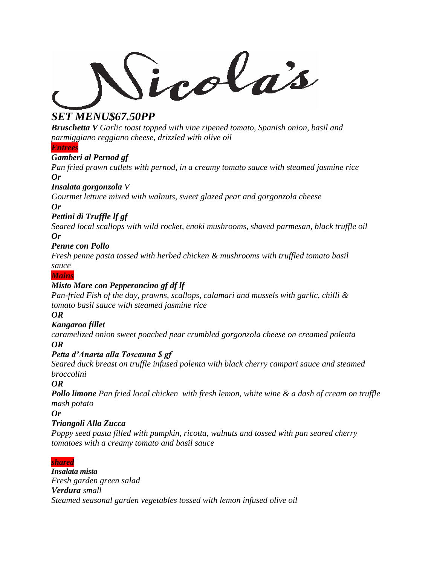icolas

## *SET MENU\$67.50PP*

*Bruschetta V Garlic toast topped with vine ripened tomato, Spanish onion, basil and parmiggiano reggiano cheese, drizzled with olive oil*

*Entrees*

#### *Gamberi al Pernod gf*

*Pan fried prawn cutlets with pernod, in a creamy tomato sauce with steamed jasmine rice Or*

#### *Insalata gorgonzola V*

*Gourmet lettuce mixed with walnuts, sweet glazed pear and gorgonzola cheese*

#### *Or*

#### *Pettini di Truffle lf gf*

*Seared local scallops with wild rocket, enoki mushrooms, shaved parmesan, black truffle oil Or*

#### *Penne con Pollo*

*Fresh penne pasta tossed with herbed chicken & mushrooms with truffled tomato basil*

*sauce Mains*

### *Misto Mare con Pepperoncino gf df lf*

*Pan-fried Fish of the day, prawns, scallops, calamari and mussels with garlic, chilli & tomato basil sauce with steamed jasmine rice*

*OR*

#### *Kangaroo fillet*

*caramelized onion sweet poached pear crumbled gorgonzola cheese on creamed polenta OR*

#### *Petta d'Anarta alla Toscanna \$ gf*

*Seared duck breast on truffle infused polenta with black cherry campari sauce and steamed broccolini*

*OR*

*Pollo limone Pan fried local chicken with fresh lemon, white wine & a dash of cream on truffle mash potato*

*Or*

#### *Triangoli Alla Zucca*

*Poppy seed pasta filled with pumpkin, ricotta, walnuts and tossed with pan seared cherry tomatoes with a creamy tomato and basil sauce*

#### *shared*

*Insalata mista Fresh garden green salad Verdura small Steamed seasonal garden vegetables tossed with lemon infused olive oil*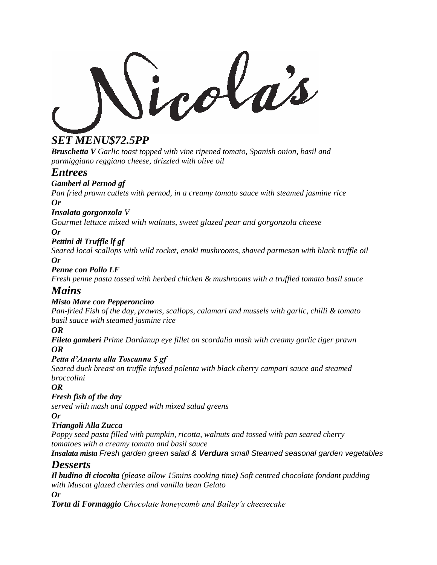## *SET MENU\$72.5PP*

*Bruschetta V Garlic toast topped with vine ripened tomato, Spanish onion, basil and parmiggiano reggiano cheese, drizzled with olive oil*

## *Entrees*

#### *Gamberi al Pernod gf*

*Pan fried prawn cutlets with pernod, in a creamy tomato sauce with steamed jasmine rice Or*

#### *Insalata gorgonzola V*

*Gourmet lettuce mixed with walnuts, sweet glazed pear and gorgonzola cheese Or*

#### *Pettini di Truffle lf gf*

*Seared local scallops with wild rocket, enoki mushrooms, shaved parmesan with black truffle oil Or*

#### *Penne con Pollo LF*

*Fresh penne pasta tossed with herbed chicken & mushrooms with a truffled tomato basil sauce*

## *Mains*

#### *Misto Mare con Pepperoncino*

*Pan-fried Fish of the day, prawns, scallops, calamari and mussels with garlic, chilli & tomato basil sauce with steamed jasmine rice*

#### *OR*

*Fileto gamberi Prime Dardanup eye fillet on scordalia mash with creamy garlic tiger prawn OR*

#### *Petta d'Anarta alla Toscanna \$ gf*

*Seared duck breast on truffle infused polenta with black cherry campari sauce and steamed broccolini*

#### *OR*

#### *Fresh fish of the day*

*served with mash and topped with mixed salad greens* 

#### *Or*

#### *Triangoli Alla Zucca*

*Poppy seed pasta filled with pumpkin, ricotta, walnuts and tossed with pan seared cherry tomatoes with a creamy tomato and basil sauce*

#### *Insalata mista Fresh garden green salad & Verdura small Steamed seasonal garden vegetables Desserts*

*Il budino di ciocolta (please allow 15mins cooking time) Soft centred chocolate fondant pudding with Muscat glazed cherries and vanilla bean Gelato*

*Or*

*Torta di Formaggio Chocolate honeycomb and Bailey's cheesecake*